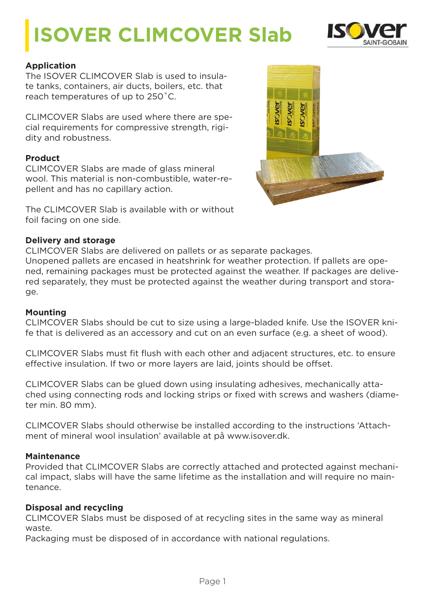# **ISOVER CLIMCOVER Slab**



## **Application**

The ISOVER CLIMCOVER Slab is used to insulate tanks, containers, air ducts, boilers, etc. that reach temperatures of up to 250˚C.

CLIMCOVER Slabs are used where there are special requirements for compressive strength, rigidity and robustness.

## **Product**

CLIMCOVER Slabs are made of glass mineral wool. This material is non-combustible, water-repellent and has no capillary action.

The CLIMCOVER Slab is available with or without foil facing on one side.

#### **Delivery and storage**

CLIMCOVER Slabs are delivered on pallets or as separate packages.

Unopened pallets are encased in heatshrink for weather protection. If pallets are opened, remaining packages must be protected against the weather. If packages are delivered separately, they must be protected against the weather during transport and storage.

#### **Mounting**

CLIMCOVER Slabs should be cut to size using a large-bladed knife. Use the ISOVER knife that is delivered as an accessory and cut on an even surface (e.g. a sheet of wood).

CLIMCOVER Slabs must fit flush with each other and adjacent structures, etc. to ensure effective insulation. If two or more layers are laid, joints should be offset.

CLIMCOVER Slabs can be glued down using insulating adhesives, mechanically attached using connecting rods and locking strips or fixed with screws and washers (diameter min. 80 mm).

CLIMCOVER Slabs should otherwise be installed according to the instructions 'Attachment of mineral wool insulation' available at på www.isover.dk.

#### **Maintenance**

Provided that CLIMCOVER Slabs are correctly attached and protected against mechanical impact, slabs will have the same lifetime as the installation and will require no maintenance.

## **Disposal and recycling**

CLIMCOVER Slabs must be disposed of at recycling sites in the same way as mineral waste.

Packaging must be disposed of in accordance with national regulations.